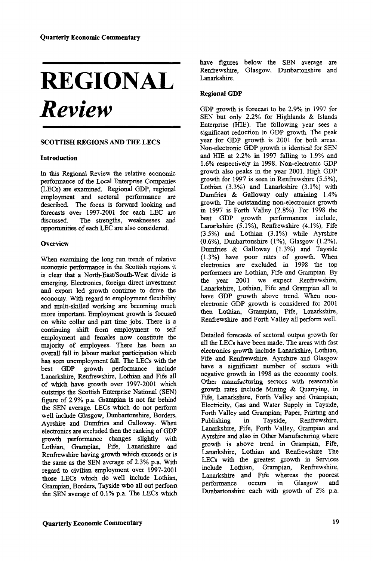# **REGIONAL**  *Review*

## **SCOTTISH REGIONS AND THE LECS**

#### **Introduction**

In this Regional Review the relative economic performance of the Local Enterprise Companies (LECs) are examined. Regional GDP, regional employment and sectoral performance are described. The focus is forward looking and forecasts over 1997-2001 for each LEC are discussed. The strengths, weaknesses and opportunities of each LEC are also considered.

## **Overview**

When examining the long run trends of relative economic performance in the Scottish regions it is clear that a North-East/South-West divide is emerging. Electronics, foreign direct investment and export led growth continue to drive the economy. With regard to employment flexibility and multi-skilled working are becoming much more important. Employment growth is focused on white collar and part time jobs. There is a continuing shift from employment to self employment and females now constitute the majority of employees. There has been an overall fall in labour market participation which has seen unemployment fall. The LECs with the best GDP growth performance include best GDP growth performance include<br>Lanarkshire, Renfrewshire, Lothian and Fife all of which have growth over 1997-2001 which outstrips the Scottish Enterprise National (SEN) figure of 2.9% p.a. Grampian is not far behind the SEN average. LECs which do not perform well include Glasgow, Dunbartonshire, Borders, Ayrshire and Dumfries and Galloway. When electronics are excluded then the ranking of GDP growth performance changes slightly with Lothian, Grampian, Fife, Lanarkshire and Renfrewshire having growth which exceeds or is Remiewshife having growth which execute of 13 register to civilian employment  $\epsilon_{\text{tree}}$  1997-2001 those Lecture Control of the Manual include Lothian, those LECs which do well include Lothian, Grampian, Borders, Tayside who all out perform the SEN average of 0.1% p.a. The LECs which

have figures below the SEN average are Renfrewshire, Glasgow, Dunbartonshire and Lanarkshire.

## **Regional GDP**

GDP growth is forecast to be 2.9% in 1997 for SEN but only 2.2% for Highlands & Islands Enterprise (HIE). The following year sees a significant reduction in GDP growth. The peak year for GDP growth is 2001 for both areas. Non-electronic GDP growth is identical for SEN and HIE at 2.2% in 1997 falling to 1.9% and 1.6% respectively in 1998. Non-electronic GDP growth also peaks in the year 2001. High GDP growth for 1997 is seen in Renfrewshire (5.5%), Lothian (3.3%) and Lanarkshire (3.1%) with Dumfries & Galloway only attaining 1.4% growth. The outstanding non-electronics growth in 1997 is Forth Valley (2.8%). For 1998 the best GDP growth performances include, Lanarkshire (5.1%), Renfrewshire (4.1%), Fife (3.5%) and Lothian (3.1%) while Ayrshire (0.6%), Dunbartonshire (1%), Glasgow (1.2%), Dumfries & Galloway (1.3%) and Tayside (1.3%) have poor rates of growth. When electronics are excluded in 1998 the top performers are Lothian, Fife and Grampian. By the year 2001 we expect Renfrewshire, Lanarkshire, Lothian, Fife and Grampian all to have GDP growth above trend. When nonelectronic GDP growth is considered for 2001 then Lothian, Grampian, Fife, Lanarkshire, Renfrewshire and Forth Valley all perform well.

Detailed forecasts of sectoral output growth for all the LECs have been made. The areas with fast electronics growth include Lanarkshire, Lothian, Fife and Renfrewshire. Ayrshire and Glasgow have a significant number of sectors with negative growth in 1998 as the economy cools. Other manufacturing sectors with reasonable growth rates include Mining & Quarrying, in Fife, Lanarkshire, Forth Valley and Grampian; Electricity, Gas and Water Supply in Tayside, Forth Valley and Grampian; Paper, Printing and Publishing in Tayside, Renfrewshire, Lanarkshire, Fife, Forth Valley, Grampian and Ayrshire and also in Other Manufacturing where growth is above trend in Grampian, Fife, Lanarkshire, Lothian and Renfrewshire The LECs with the greatest growth in Services include Lothian, Grampian, Renfrewshire, Lanarkshire and Fife whereas the poorest performance occurs in Glasgow and Dunbartonshire each with growth of 2% p.a.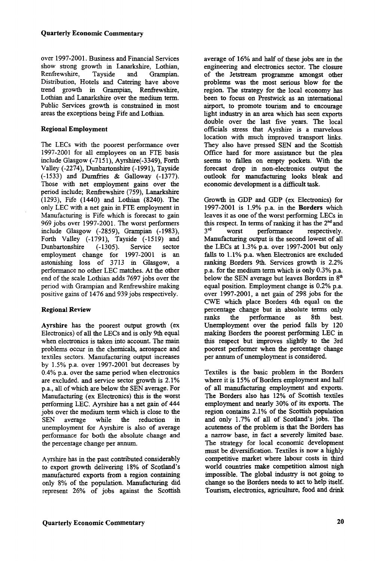over 1997-2001. Business and Financial Services show strong growth in Lanarkshire, Lothian, Renfrewshire, Tayside and Grampian. Distribution, Hotels and Catering have above trend growth in Grampian, Renfrewshire, Lothian and Lanarkshire over the medium term. Public Services growth is constrained in most areas the exceptions being Fife and Lothian.

#### **Regional Employment**

The LECs with the poorest performance over 1997-2001 for all employees on an FTE basis include Glasgow (-7151), Ayrshire(-3349), Forth Valley (-2274), Dunbartonshire (-1991), Tayside (-1533) and Dumfries & Galloway (-1377). Those with net employment gains over the period include; Renfrewshire (759), Lanarkshire (1293), Fife (1440) and Lothian (8240). The only LEC with a net gain in FTE employment in Manufacturing is Fife which is forecast to gain 969 jobs over 1997-2001. The worst performers include Glasgow (-2859), Grampian (-1983), Forth Valley (-1791), Tayside (-1519) and Dunbartonshire (-1305). Service sector employment change for 1997-2001 is an astonishing loss of 3713 in Glasgow, a performance no other LEC matches. At the other end of the scale Lothian adds 7697 jobs over the period with Grampian and Renfrewshire making positive gains of 1476 and 939 jobs respectively.

# **Regional Review**

**Ayrshire** has the poorest output growth (ex Electronics) of all the LECs and is only 9th equal when electronics is taken into account. The main problems occur in the chemicals, aerospace and textiles sectors. Manufacturing output increases by 1.5% p.a. over 1997-2001 but decreases by 0.4% p.a. over the same period when electronics are excluded, and service sector growth is 2.1% p.a., all of which are below the SEN average. For Manufacturing (ex Electronics) this is die worst performing LEC. Ayrshire has a net gain of 444 jobs over the medium term which is close to the SEN average while the reduction in unemployment for Ayrshire is also of average performance for both the absolute change and the percentage change per annum.

Ayrshire has in the past contributed considerably to export growth delivering 18% of Scotland's manufactured exports from a region containing only 8% of the population. Manufacturing did represent 26% of jobs against the Scottish average of 16% and half of these jobs are in the engineering and electronics sector. The closure of the Jetstream programme amongst other problems was the most serious blow for the region. The strategy for the local economy has been to focus on Prestwick as an international airport, to promote tourism and to encourage light industry in an area which has seen exports double over the last five years. The local officials stress that Ayrshire is a marvelous location with much improved transport links. They also have pressed SEN and the Scottish Office hard for more assistance but the plea seems to fallen on empty pockets. With the forecast drop in non-electronics output the outlook for manufacturing looks bleak and economic development is a difficult task.

Growth in GDP and GDP (ex Electronics) for 1997-2001 is 1.9% p.a. in the **Borders** which leaves it as one of the worst performing LECs in this respect. In terms of ranking it has the 2<sup>nd</sup> and 3 rd worst performance respectively. Manufacturing output is the second lowest of all the LECs at 1.3% p.a. over 1997-2001 but only falls to 1.1% p.a. when Electronics are excluded ranking Borders 9th. Services growth is 2.2% p.a. for the medium term which is only 0.3% p.a. below the SEN average but leaves Borders in 8<sup>th</sup> equal position. Employment change is 0.2% p.a. over 1997-2001, a net gain of 298 jobs for the CWE which place Borders 4th equal on the percentage change but in absolute terms only ranks the performance as 8th best. Unemployment over the period falls by 120 making Borders the poorest performing LEC in this respect but improves slightly to the 3rd poorest performer when the percentage change per annum of unemployment is considered.

Textiles is the basic problem in the Borders where it is 15% of Borders employment and half of all manufacturing employment and exports. The Borders also has 12% of Scottish textiles employment and nearly 30% of its exports. The region contains 2.1% of the Scottish population and only 1.7% of all of Scotland's jobs. The acuteness of the problem is that the Borders has a narrow base, in fact a severely limited base. The strategy for local economic development must be diversification. Textiles is now a highly competitive market where labour costs in third world countries make competition almost nigh impossible. The global industry is not going to change so the Borders needs to act to help itself. Tourism, electronics, agriculture, food and drink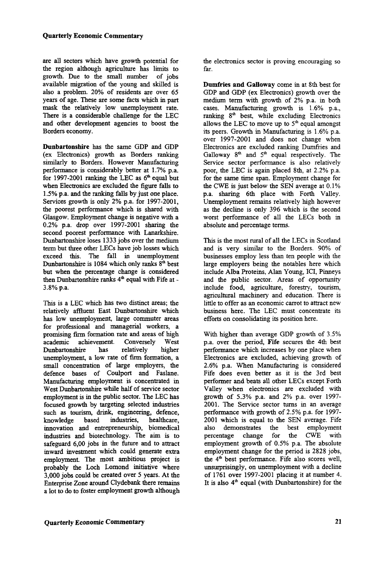are all sectors which have growth potential for the region although agriculture has limits to growth. Due to the small number of jobs available migration of the young and skilled is also a problem. 20% of residents are over 65 years of age. These are some facts which in part mask the relatively low unemployment rate. There is a considerable challenge for the LEC and other development agencies to boost the Borders economy.

**Dunbartonshire** has the same GDP and GDP (ex Electronics) growth as Borders ranking similarly to Borders. However Manufacturing performance is considerably better at 1.7% p.a. for 1997-2001 ranking the LEC as  $6<sup>th</sup>$  equal but when Electronics are excluded the figure falls to 1.5% p.a. and the ranking falls by just one place. Services growth is only 2% p.a. for 1997-2001, the poorest performance which is shared with Glasgow. Employment change is negative with a 0.2% p.a. drop over 1997-2001 sharing the second poorest performance with Lanarkshire. Dunbartonshire loses 1333 jobs over the medium term but three other LECs have job losses which exceed this. The fall in unemployment  $D$ unbartonshire is  $1084$  which only ranks  $8<sup>th</sup>$  best but when the percentage change is considered but when the percentage enange is considered<br>then Dunbartonshire ranks  $4<sup>th</sup>$  equal with Fife at -3.8% p.a.

This is a LEC which has two distinct areas; the relatively affluent East Dunbartonshire which has low unemployment, large commuter areas for professional and managerial workers, a promising firm formation rate and areas of high academic achievement. Conversely West Dunbartonshire has relatively higher unemployment, a low rate of firm formation, a small concentration of large employers, the defence bases of Coulport and Faslane. Manufacturing employment is concentrated in West Dunbartonshire while half of service sector employment is in the public sector. The LEC has focused growth by targeting selected industries such as tourism, drink, engineering, defence, knowledge based industries, healthcare, innovation and entrepreneurship, biomedical industries and biotechnology. The aim is to safeguard 6,00 jobs in the future and to attract inward investment which could generate extra employment. The most ambitious project is probably the Loch Lomond initiative where 3,000 jobs could be created over 5 years. At the Enterprise Zone around Clydebank there remains a lot to do to foster employment growth although the electronics sector is proving encouraging so far.

**Dumfries and Galloway** come in at 8th best for GDP and GDP (ex Electronics) growth over the medium term with growth of 2% p.a. in both cases. Manufacturing growth is 1.6% p.a., ranking 8<sup>th</sup> best, while excluding Electronics allows the LEC to move up to  $5<sup>th</sup>$  equal amongst its peers. Growth in Manufacturing is 1.6% p.a. over 1997-2001 and does not change when Electronics are excluded ranking Dumfries and Galloway  $8<sup>th</sup>$  and  $5<sup>th</sup>$  equal respectively. The Service sector performance is also relatively poor, the LEC is again placed 8th, at 2.2% p.a. for the same time span. Employment change for the CWE is just below the SEN average at 0.1% p.a. sharing 6th place with Forth Valley. Unemployment remains relatively high however as the decline is only 396 which is the second worst performance of all the LECs both in absolute and percentage terms.

This is the most rural of all the LECs in Scotland and is very similar to the Borders. 90% of businesses employ less than ten people with the large employers being the notables here which include Alba Proteins, Alan Young, ICI, Pinneys and the public sector. Areas of opportunity include food, agriculture, forestry, tourism, agricultural machinery and education. There is little to offer as an economic carrot to attract new business here. The LEC must concentrate its efforts on consolidating its position here.

With higher than average GDP growth of 3.5% p.a. over the period, Fife secures the 4th best performance which increases by one place when Electronics are excluded, achieving growth of 2.6% p.a. When Manufacturing is considered Fife does even better as it is the 3rd best performer and beats all other LECs except Forth Valley when electronics are excluded with growth of 5.3% p.a. and 2% p.a. over 1997- 2001. The Service sector turns in an average performance with growth of 2.5% p.a. for 1997- 2001 which is equal to the SEN average. Fife also demonstrates the best employment percentage change for the CWE with employment growth of 0.5% p.a. The absolute employment change for the period is 2828 jobs,  $\sum_{k=1}^{\infty}$  the 4<sup>th</sup> best performance. Fife also scores well, unsurprisingly, on unemployment with a decline of 1761 over 1997-2001 placing it at number 4. Of  $1/01$  Over  $133/2001$  placing it at number  $\pi$ .<br>It is also  $4<sup>th</sup>$  equal (with Dunbartonshire) for the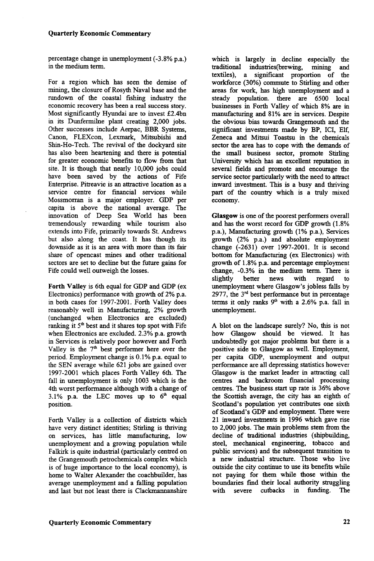#### **Quarterly Economic Commentary**

percentage change in unemployment (-3.8% p.a.) in the medium term.

For a region which has seen the demise of mining, the closure of Rosyth Naval base and the rundown of the coastal fishing industry the economic recovery has been a real success story. Most significantly Hyundai are to invest £2.4bn in its Dunfermilne plant creating 2,000 jobs. Other successes include Aerpac, BBR Systems, Canon, FLEXcon, Lexmark, Mitsubishi and Shin-Ho-Tech. The revival of the dockyard site has also been heartening and there is potential for greater economic benefits to flow from that site. It is though that nearly 10,000 jobs could have been saved by the actions of Fife Enterprise. Pitreavie is an attractive location as a service centre for financial services while Mossmorran is a major employer. GDP per capita is above the national average. The innovation of Deep Sea World has been tremendously rewarding while tourism also extends into Fife, primarily towards St. Andrews but also along the coast. It has though its downside as it is an area with more than its fair share of opencast mines and other traditional sectors are set to decline but the future gains for Fife could well outweigh the losses.

**Forth Valley** is 6th equal for GDP and GDP (ex Electronics) performance with growth of 2% p.a. in both cases for 1997-2001. Forth Valley does reasonably well in Manufacturing, 2% growth (unchanged when Electronics are excluded) ranking it  $5<sup>th</sup>$  best and it shares top spot with Fife when Electronics are excluded. 2.3% p.a. growth in Services is relatively poor however and Forth Valley is the  $7<sup>th</sup>$  best performer here over the period. Employment change is 0.1% p.a. equal to the SEN average while 621 jobs are gained over 1997-2001 which places Forth Valley 6th. The fall in unemployment is only 1003 which is the 4th worst performance although with a change of 3.1% p.a. the LEC moves up to  $6<sup>th</sup>$  equal position.

Forth Valley is a collection of districts which have very distinct identities; Stirling is thriving on services, has little manufacturing, low unemployment and a growing population while Falkirk is quite industrial (particularly centred on the Grangemouth petrochemicals complex which is of huge importance to the local economy), is home to Walter Alexander the coachbuilder, has average unemployment and a falling population and last but not least there is Clackmannanshire

which is largely in decline especially the traditional industries(brewing, mining and textiles), a significant proportion of the workforce (30%) commute to Stirling and other areas for work, has high unemployment and a steady population, there are 6500 local businesses in Forth Valley of which 8% are in manufacturing and 81% are in services. Despite the obvious bias towards Grangemouth and the significant investments made by BP, ICI, Elf, Zeneca and Mitsui Toastsu in the chemicals sector the area has to cope with the demands of the small business sector, promote Stirling University which has an excellent reputation in several fields and promote and encourage the service sector particularly with the need to attract inward investment. This is a busy and thriving part of the country which is a truly mixed economy.

**Glasgow** is one of the poorest performers overall and has the worst record for GDP growth (1.8% p.a.), Manufacturing growth (1% p.a.), Services growth (2% p.a.) and absolute employment change (-2631) over 1997-2001. It is second bottom for Manufacturing (ex Electronics) with growth of 1.8% p.a. and percentage employment change, -0.3% in the medium term. There is slightly better news with regard to unemployment where Glasgow's jobless falls by 2977, the  $3<sup>rd</sup>$  best performance but in percentage terms it only ranks  $9<sup>th</sup>$  with a 2.6% p.a. fall in unemployment.

A blot on the landscape surely? No, this is not how Glasgow should be viewed. It has undoubtedly got major problems but there is a positive side to Glasgow as well. Employment, per capita GDP, unemployment and output performance are all depressing statistics however Glasgow is the market leader in attracting call centres and backroom financial processing centres. The business start up rate is 36% above the Scottish average, the city has an eighth of Scotland's population yet contributes one sixth of Scotland's GDP and employment. There were 21 inward investments in 1996 which gave rise to 2,000 jobs. The main problems stem from the decline of traditional industries (shipbuilding, steel, mechanical engineering, tobacco and public services) and the subsequent transition to a new industrial structure. Those who live outside the city continue to use its benefits while not paying for them while those within the boundaries find their local authority struggling with severe cutbacks in funding. The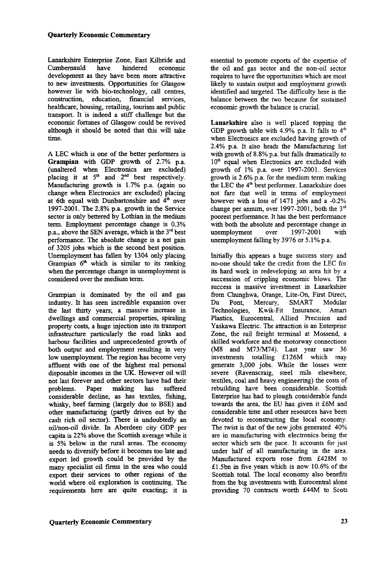Lanarkshire Enterprise Zone, East Kilbride and Cumbernauld have hindered economic development as they have been more attractive to new investments. Opportunities for Glasgow however lie with bio-technology, call centres, construction, education, financial services, healthcare, housing, retailing, tourism and public transport. It is indeed a stiff challenge but the economic fortunes of Glasgow could be revived although it should be noted that this will take time.

A LEC which is one of the better performers is **Grampian** with GDP growth of 2.7% p.a. (unaltered when Electronics are excluded) placing it at  $5<sup>th</sup>$  and  $2<sup>nd</sup>$  best respectively. Manufacturing growth is 1.7% p.a. (again no change when Electronics are excluded) placing at 6th equal with Dunbartonshire and  $4<sup>th</sup>$  over 1997-2001. The 2.8% p.a. growth in the Service sector is only bettered by Lothian in the medium term. Employment percentage change is 0.3%  $\frac{1}{2}$  p.a., above the SEN average, which is the  $3<sup>rd</sup>$  best performance. The absolute change is a net gain of 3205 jobs which is the second best position. Unemployment has fallen by 1304 only placing Grampian  $6<sup>th</sup>$  which is similar to its ranking when the percentage change in unemployment is considered over the medium term.

Grampian is dominated by the oil and gas industry. It has seen incredible expansion over the last thirty years; a massive increase in dwellings and commercial properties, spiraling property costs, a huge injection into its transport infrastructure particularly the road links and harbour facilities and unprecedented growth of both output and employment resulting in very low unemployment. The region has become very affluent with one of the highest real personal disposable incomes in the UK. However oil will not last forever and other sectors have had their problems. Paper making has suffered considerable decline, as has textiles, fishing, whisky, beef farming (largely due to BSE) and other manufacturing (partly driven out by the cash rich oil sector). There is undoubtedly an oil/non-oil divide. In Aberdeen city GDP per capita is 22% above the Scottish average while it is 5% below in the rural areas. The economy needs to diversify before it becomes too late and export led growth could be provided by the many specialist oil firms in the area who could export their services to other regions of the world where oil exploration is continuing. The requirements here are quite exacting; it is essential to promote exports of the expertise of the oil and gas sector and the non-oil sector requires to have the opportunities which are most likely to sustain output and employment growth identified and targeted. The difficulty here is the balance between the two because for sustained economic growth the balance is crucial.

**Lanarkshire** also is well placed topping the GDP growth table with 4.9% p.a. It falls to  $4<sup>th</sup>$ when Electronics are excluded having growth of 2.4% p.a. It also heads the Manufacturing list with growth of 8.8% p.a. but falls dramatically to 10<sup>th</sup> equal when Electronics are excluded with growth of 1% p.a. over 1997-2001. Services growth is 2.6% p.a. for the medium term making the LEC the 4<sup>th</sup> best performer. Lanarkshire does not fare that well in terms of employment however with a loss of 1471 jobs and a -0.2% change per annum, over 1997-2001, both the 3<sup>rd</sup> poorest performance. It has the best performance with both the absolute and percentage change in unemployment over 1997-2001 with unemployment falling by 3976 or 5.1% p.a.

Initially this appears a huge success story and no-one should take the credit from the LEC for its hard work in redeveloping an area hit by a succession of crippling economic blows. The success is massive investment in Lanarkshire from Chunghwa, Orange, Lite-On, First Direct, Du Pont, Mercury, SMART Modular Technologies, Kwik-Fit Insurance, Amari Plastics, Eurocentral, Allied Precision and Yaskawa Electric. The attraction is an Enterprise Zone, the rail freight terminal at Mossend, a skilled workforce and the motorway connections (M8 and M73/M74). Last year saw 36 investments totalling £126M which may generate 3,000 jobs. While the losses were severe (Ravenscraig, steel mils elsewhere, textiles, coal and heavy engineering) the costs of rebuilding have been considerable. Scottish Enterprise has had to plough considerable funds towards the area, the EU has given it £6M and considerable time and other resources have been devoted to reconstructing the local economy. The twist is that of the new jobs generated 40% are in manufacturing with electronics being the sector which sets the pace. It accounts for just under half of all manufacturing in the area. Manufactured exports rose from £428M to £1.5bn in five years which is now 10.6% of the Scottish total. The local economy also benefits SCOULSH total. The local economy also benefits from the big investments with Eurocentral alone<br>providing 70 contracts worth £44M to Scots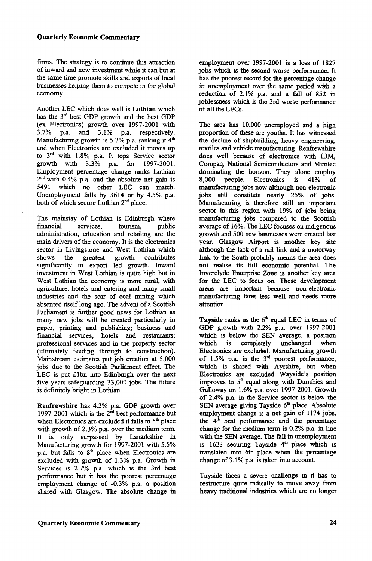firms. The strategy is to continue this attraction of inward and new investment while it can but at the same time promote skills and exports of local businesses helping them to compete in the global economy.

Another LEC which does well is Lothian which has the 3<sup>rd</sup> best GDP growth and the best GDP (ex Electronics) growth over  $1997-2001$  with  $3.7\%$  p.a. and  $3.1\%$  p.a. respectively. 3.7% p.a. and 3.1% p.a. respectively. Manufacturing growth is 5.2% p.a. ranking it  $4<sup>th</sup>$ and when Electronics are excluded it moves up to 3rd with 1.8% p.a. It tops Service sector growth with 3.3% p.a. for 1997-2001. Employment percentage change ranks Lothian  $2<sup>nd</sup>$  with 0.4% p.a. and the absolute net gain is 5491 which no other LEC can match. Unemployment falls by 3614 or by 4.5% p.a. both of which secure Lothian 2<sup>nd</sup> place.

The mainstay of Lothian is Edinburgh where<br>financial services, tourism, public financial services, tourism, administration, education and retailing are the main drivers of the economy. It is the electronics sector in Livingstone and West Lothian which shows the greatest growth contributes significantly to export led growth. Inward investment in West Lothian is quite high but in West Lothian the economy is more rural, with agriculture, hotels and catering and many small industries and the scar of coal mining which absented itself long ago. The advent of a Scottish Parliament is further good news for Lothian as many new jobs will be created particularly in paper, printing and publishing; business and financial services; hotels and restaurants; professional services and in the property sector (ultimately feeding through to construction). Mainstream estimates put job creation at 5,000 jobs due to the Scottish Parliament effect. The LEC is put £lbn into Edinburgh over the next five years safeguarding 33,000 jobs. The future is definitely bright in Lothian.

Renfrewshire has 4.2% p.a. GDP growth over 1997-2001 which is the  $2<sup>nd</sup>$  best performance but when Electronics are excluded it falls to  $5<sup>th</sup>$  place with growth of 2.3% p.a. over the medium term. It is only surpassed by Lanarkshire in Manufacturing growth for 1997-2001 with 5.5% p.a. but falls to  $8<sup>th</sup>$  place when Electronics are excluded with growth of 1.3% p.a. Growth in Services is 2.7% p.a. which is the 3rd best performance but it has the poorest percentage employment change of -0.3% p.a. a position shared with Glasgow. The absolute change in

employment over 1997-2001 is a loss of 1827 jobs which is the second worse performance. It has the poorest record for the percentage change in unemployment over the same period with a reduction of 2.1% p.a. and a fall of 852 in joblessness which is the 3rd worse performance of all the LECs.

The area has 10,000 unemployed and a high proportion of these are youths. It has witnessed the decline of shipbuilding, heavy engineering, textiles and vehicle manufacturing. Renfrewshire does well because of electronics with IBM, Compaq, National Semiconductors and Mimtec dominating the horizon. They alone employ 8,000 people. Electronics is 41% of manufacturing jobs now although non-electronic jobs still constitute nearly 25% of jobs. Manufacturing is therefore still an important sector in this region with 19% of jobs being manufacturing jobs compared to the Scottish average of 16%. The LEC focuses on indigenous growth and 500 new businesses were created last year. Glasgow Airport is another key site although the lack of a rail link and a motorway link to the South probably means the area does not realise its full economic potential. The Inverclyde Enterprise Zone is another key area for the LEC to focus on. These development areas are important because non-electronic manufacturing fares less well and needs more attention.

Tayside ranks as the  $6<sup>th</sup>$  equal LEC in terms of GDP growth with 2.2% p.a. over 1997-2001 which is below the SEN average, a position which is completely unchanged when Electronics are excluded. Manufacturing growth of 1.5% p.a. is the  $3<sup>rd</sup>$  poorest performance, which is shared with Ayrshire, but when Electronics are excluded Wayside's position improves to  $5<sup>th</sup>$  equal along with Dumfries and Galloway on 1.6% p.a. over 1997-2001. Growth of 2.4% p.a. in the Service sector is below the  $SEN$  average giving Tayside  $6<sup>th</sup>$  place. Absolute employment change is a net gain of 1174 jobs, the  $4<sup>th</sup>$  best performance and the percentage change for the medium term is 0.2% p.a. in line with the SEN average. The fall in unemployment is  $1623$  securing Tayside  $4<sup>th</sup>$  place which is translated into 6th place when the percentage change of 3.1% p.a. is taken into account.

Tayside faces a severe challenge in it has to restructure quite radically to move away from heavy traditional industries which are no longer